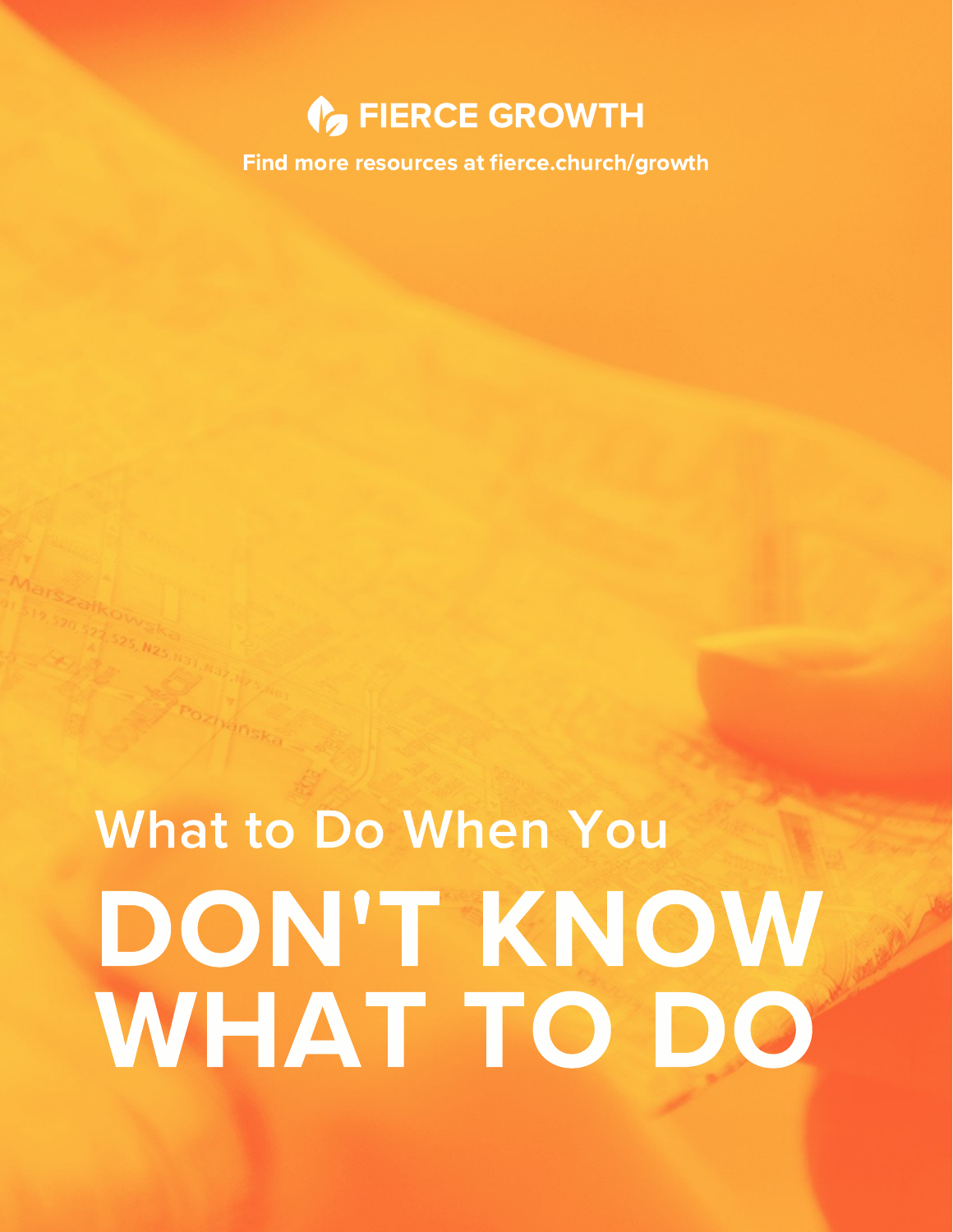## **C** FIERCE GROWTH

Find more resources at fierce.church/growth

## What to Do When You DON'T KNOW WHAT TO DO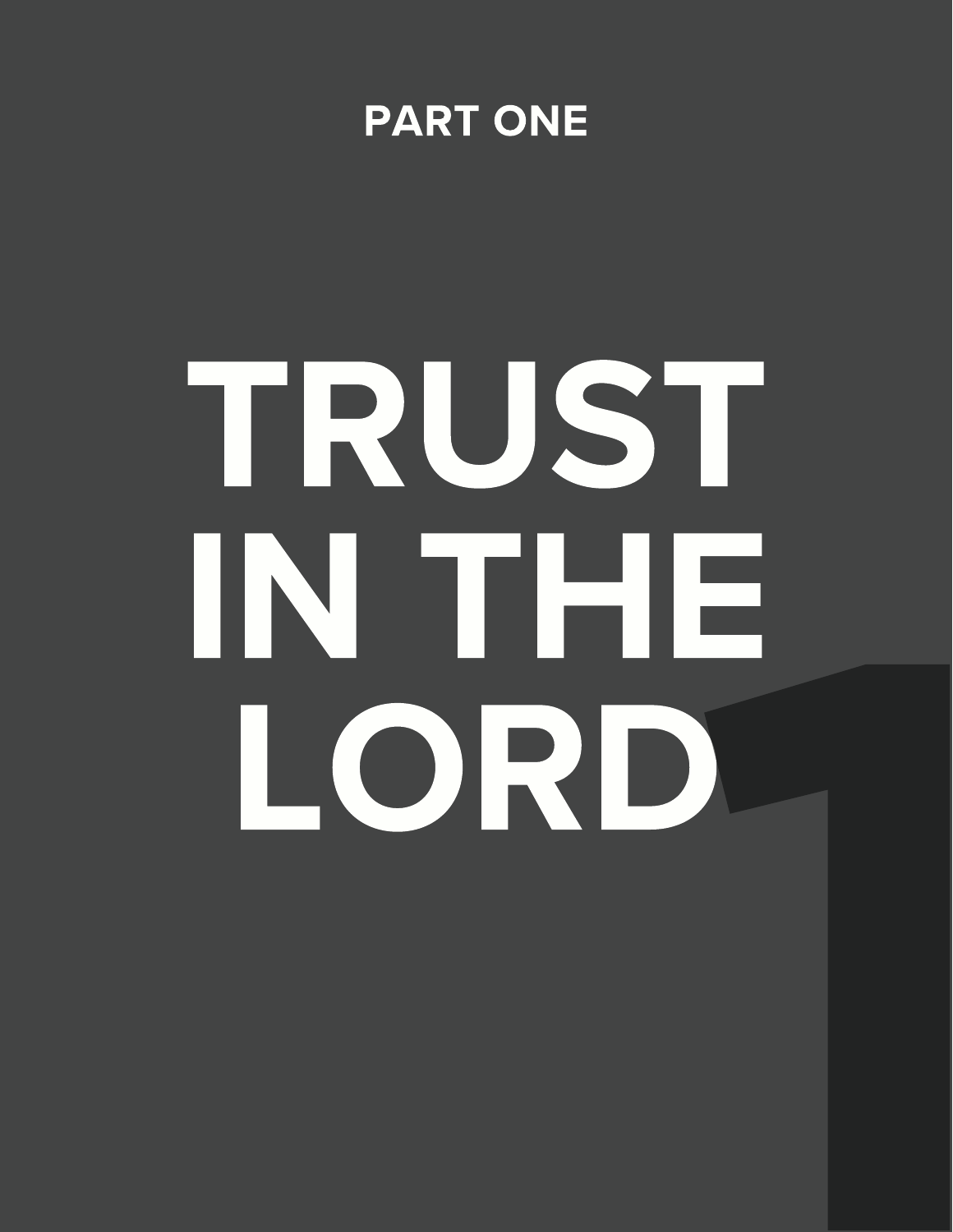

## TRUST IN THE LORD 1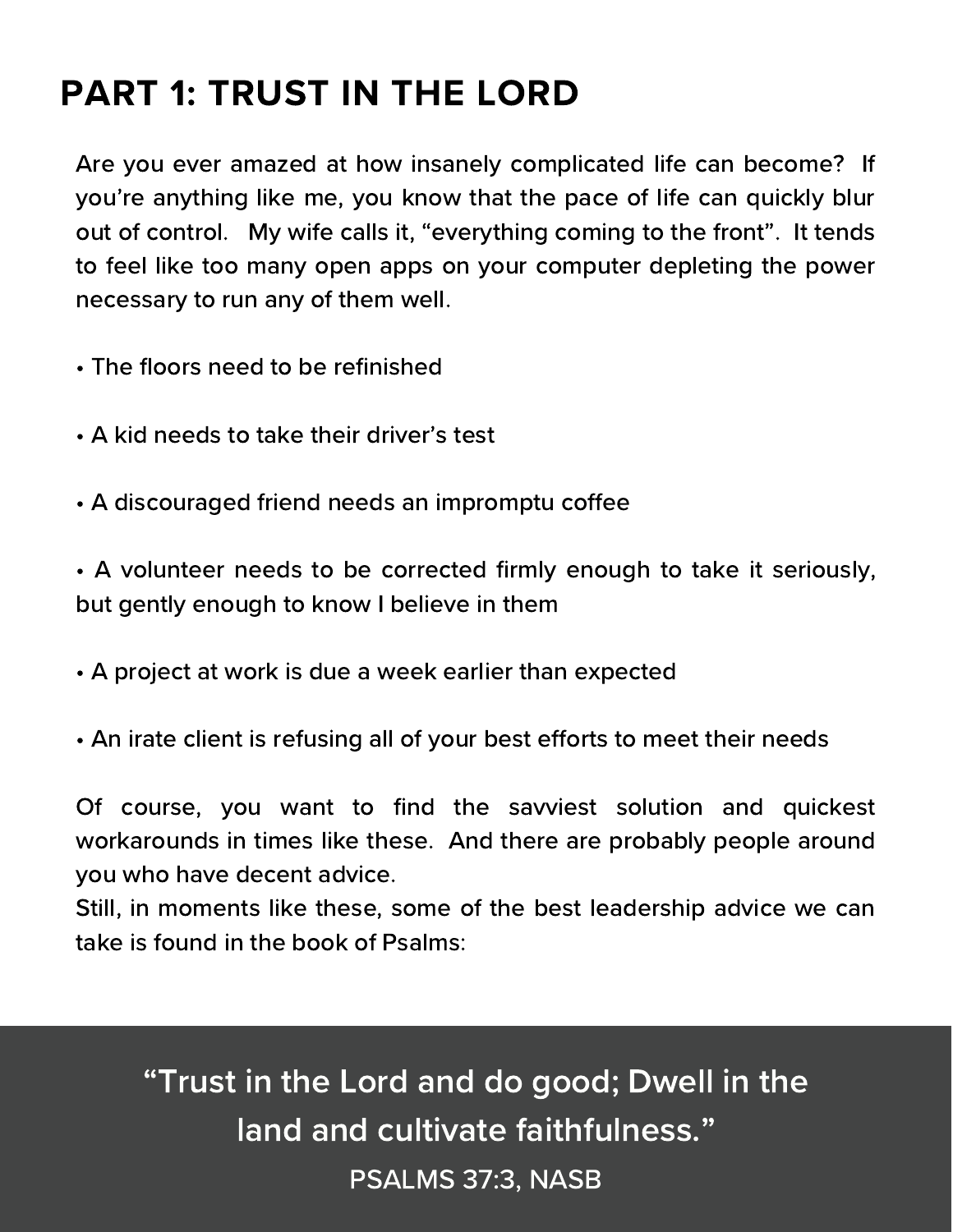## PART 1: TRUST IN THE LORD

Are you ever amazed at how insanely complicated life can become? If you're anything like me, you know that the pace of life can quickly blur out of control. My wife calls it, "everything coming to the front". It tends to feel like too many open apps on your computer depleting the power necessary to run any of them well.

- The floors need to be refinished
- A kid needs to take their driver's test
- A discouraged friend needs an impromptu coffee
- A volunteer needs to be corrected firmly enough to take it seriously, but gently enough to know I believe in them
- A project at work is due a week earlier than expected
- An irate client is refusing all of your best efforts to meet their needs

Of course, you want to find the savviest solution and quickest workarounds in times like these. And there are probably people around you who have decent advice.

Still, in moments like these, some of the best leadership advice we can take is found in the book of Psalms:

"Trust in the Lord and do good; Dwell in the land and cultivate faithfulness."

PSALMS 37:3, NASB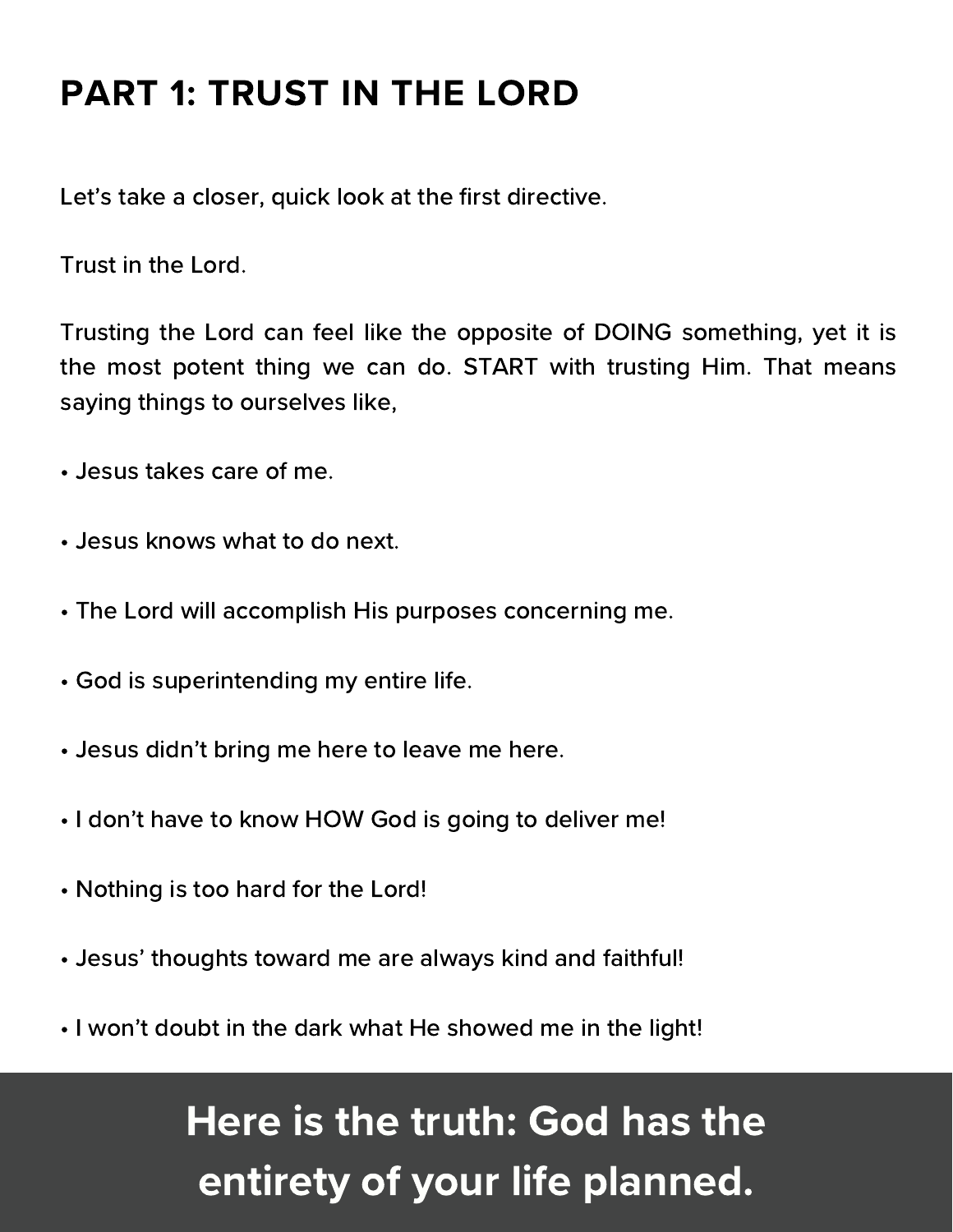## PART 1: TRUST IN THE LORD

Let's take a closer, quick look at the first directive.

Trust in the Lord.

Trusting the Lord can feel like the opposite of DOING something, yet it is the most potent thing we can do. START with trusting Him. That means saying things to ourselves like,

- Jesus takes care of me.
- Jesus knows what to do next.
- The Lord will accomplish His purposes concerning me.
- God is superintending my entire life.
- Jesus didn't bring me here to leave me here.
- I don't have to know HOW God is going to deliver me!
- Nothing is too hard for the Lord!
- Jesus' thoughts toward me are always kind and faithful!
- I won't doubt in the dark what He showed me in the light!

## Here is the truth: God has the entirety of your life planned.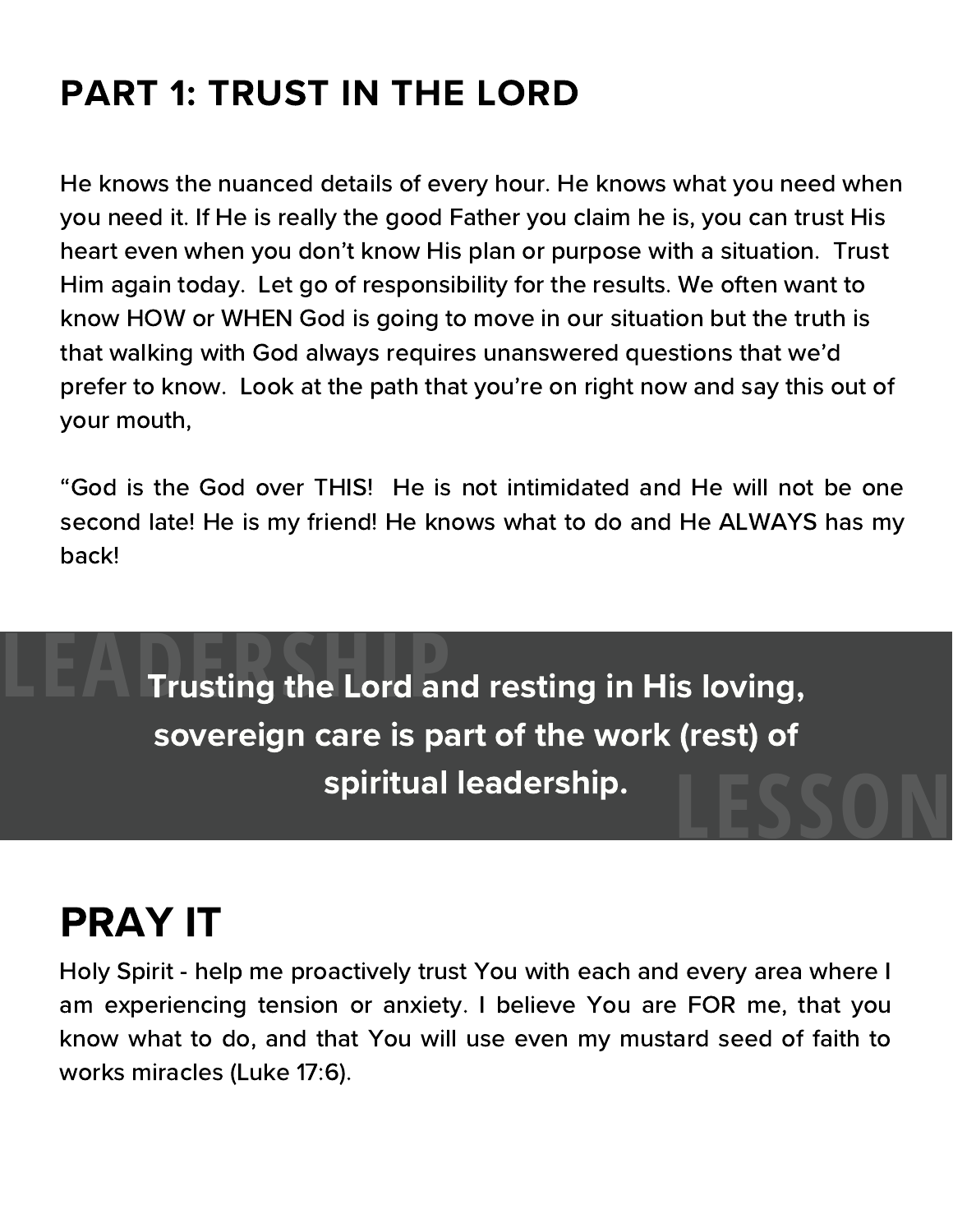## PART 1: TRUST IN THE LORD

He knows the nuanced details of every hour. He knows what you need when you need it. If He is really the good Father you claim he is, you can trust His heart even when you don't know His plan or purpose with a situation. Trust Him again today. Let go of responsibility for the results. We often want to know HOW or WHEN God is going to move in our situation but the truth is that walking with God always requires unanswered questions that we'd prefer to know. Look at the path that you're on right now and say this out of your mouth,

"God is the God over THIS! He is not intimidated and He will not be one second late! He is my friend! He knows what to do and He ALWAYS has my back!

Trusting the Lord and resting in His loving, sovereign care is part of the work (rest) of spiritual leadership. **LEADER Trusting the Lord and Strusting Strusting Strusting Strusting Strusting Strusting Strusting Strusting Strusting Strusting Strusting Strusting Strusting Strusting Strusting Strusting Strusting Strusting Strusting St LESSON**

## PRAY IT

Holy Spirit - help me proactively trust You with each and every area where I am experiencing tension or anxiety. I believe You are FOR me, that you know what to do, and that You will use even my mustard seed of faith to works miracles (Luke 17:6).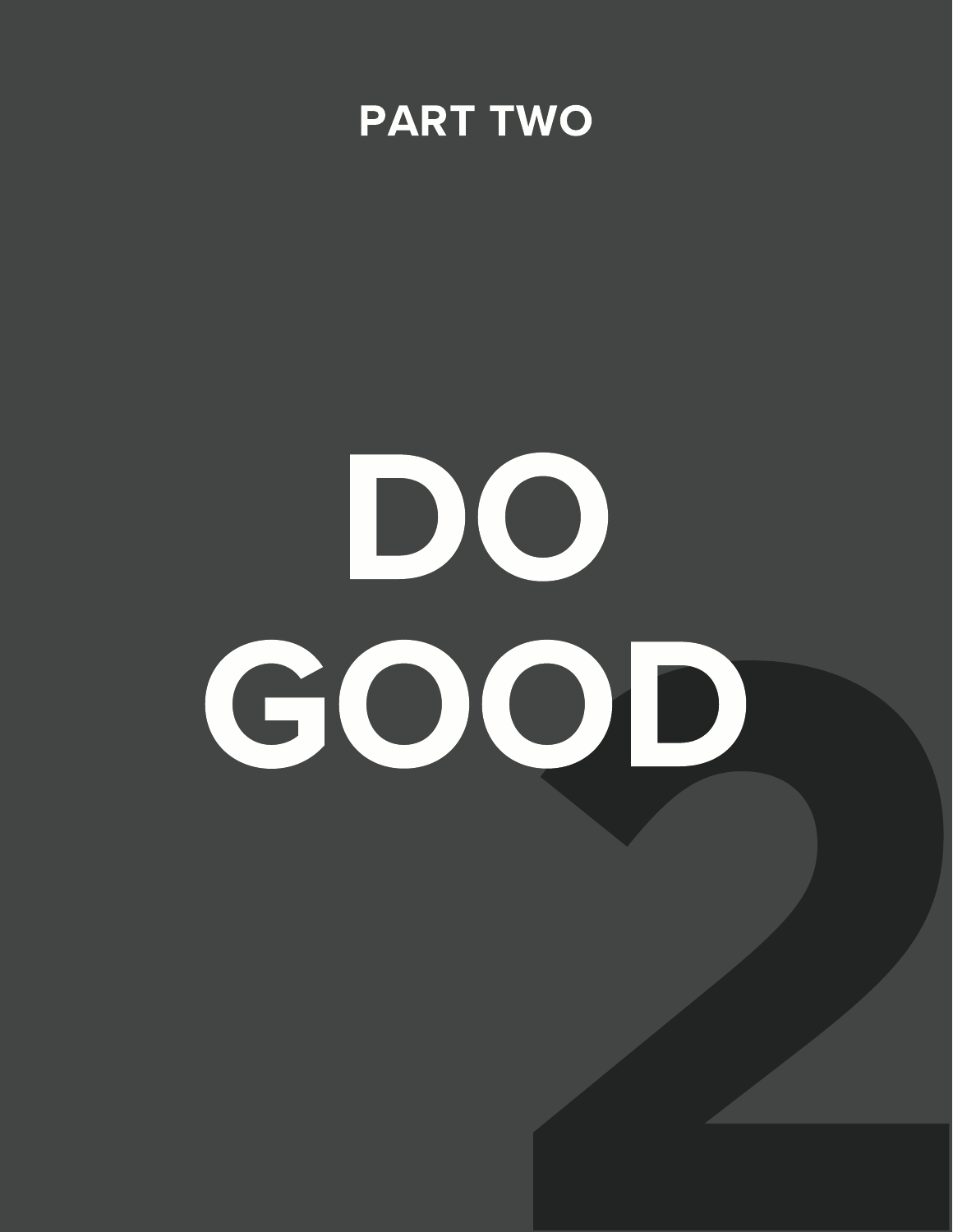

# 2 DO GOOD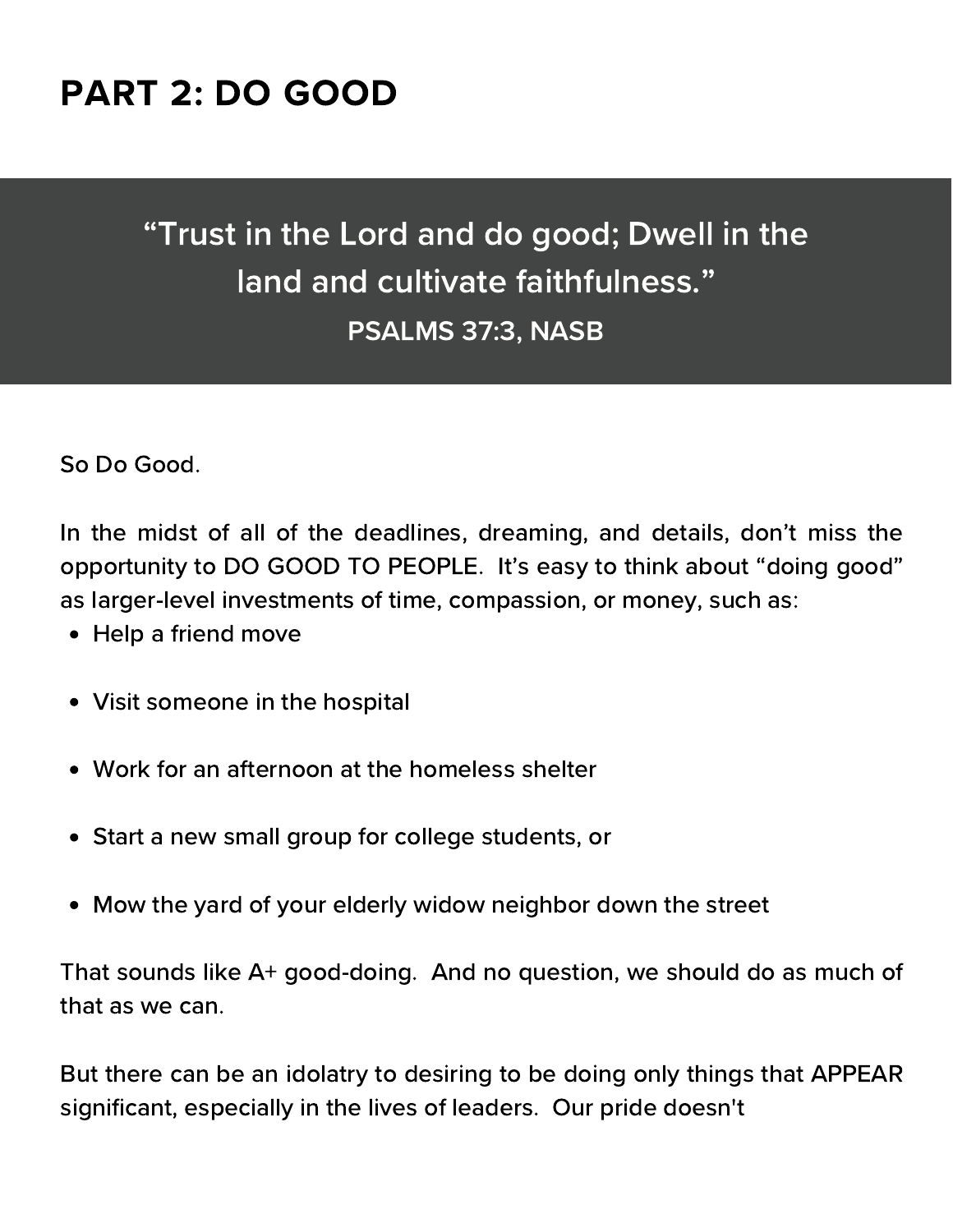## PART 2: DO GOOD

## "Trust in the Lord and do good; Dwell in the land and cultivate faithfulness." PSALMS 37:3, NASB

So Do Good.

In the midst of all of the deadlines, dreaming, and details, don't miss the opportunity to DO GOOD TO PEOPLE. It's easy to think about "doing good" as larger-level investments of time, compassion, or money, such as:

- Help a friend move
- Visit someone in the hospital
- Work for an afternoon at the homeless shelter
- Start a new small group for college students, or
- Mow the yard of your elderly widow neighbor down the street

That sounds like A+ good-doing. And no question, we should do as much of that as we can.

But there can be an idolatry to desiring to be doing only things that APPEAR significant, especially in the lives of leaders. Our pride doesn't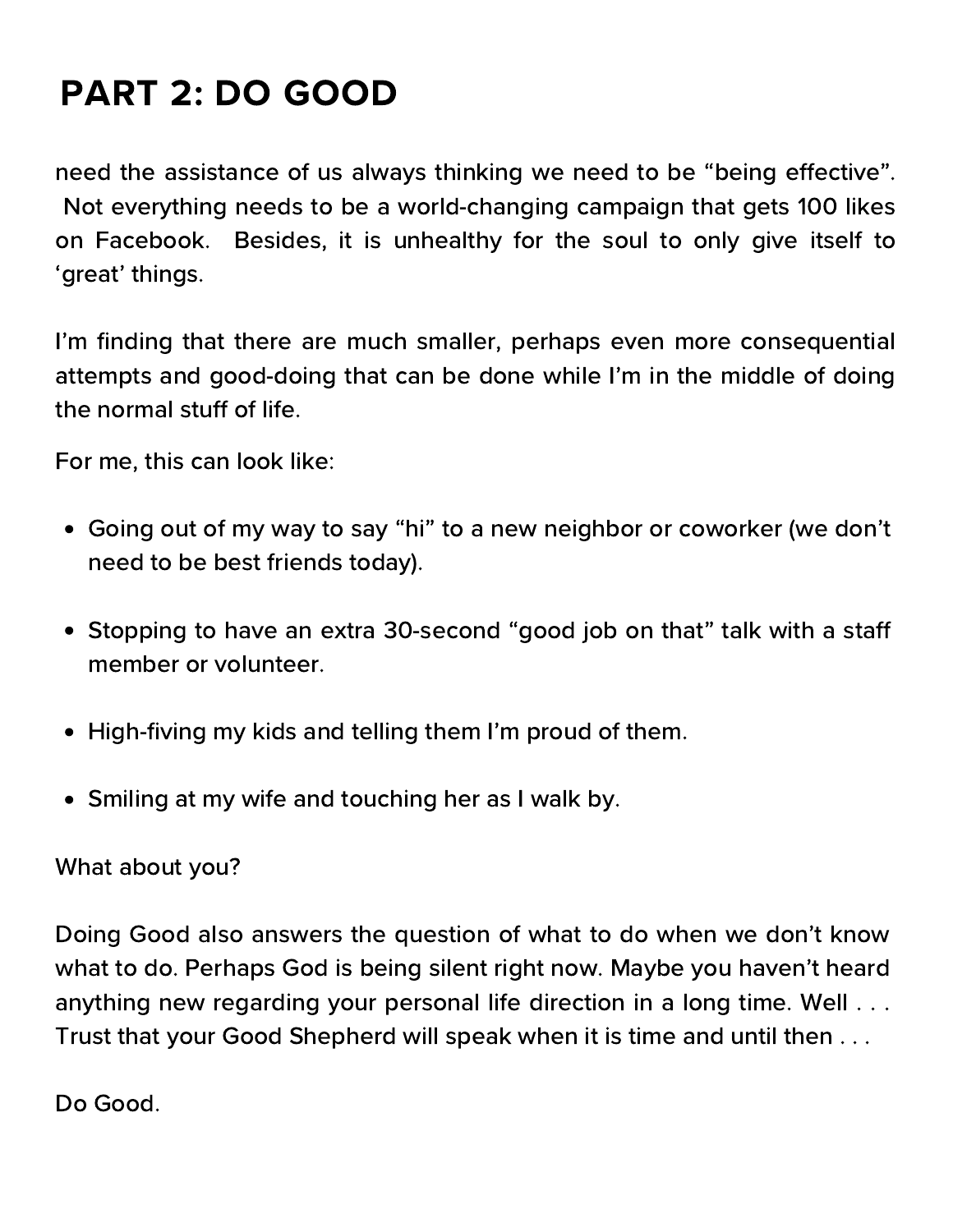## PART 2: DO GOOD

need the assistance of us always thinking we need to be "being effective". Not everything needs to be a world-changing campaign that gets 100 likes on Facebook. Besides, it is unhealthy for the soul to only give itself to 'great' things.

I'm finding that there are much smaller, perhaps even more consequential attempts and good-doing that can be done while I'm in the middle of doing the normal stuff of life.

For me, this can look like:

- Going out of my way to say "hi" to a new neighbor or coworker (we don't need to be best friends today).
- Stopping to have an extra 30-second "good job on that" talk with a staff member or volunteer.
- High-fiving my kids and telling them I'm proud of them.
- Smiling at my wife and touching her as I walk by.

### What about you?

Doing Good also answers the question of what to do when we don't know what to do. Perhaps God is being silent right now. Maybe you haven't heard anything new regarding your personal life direction in a long time. Well . . . Trust that your Good Shepherd will speak when it is time and until then . . .

Do Good.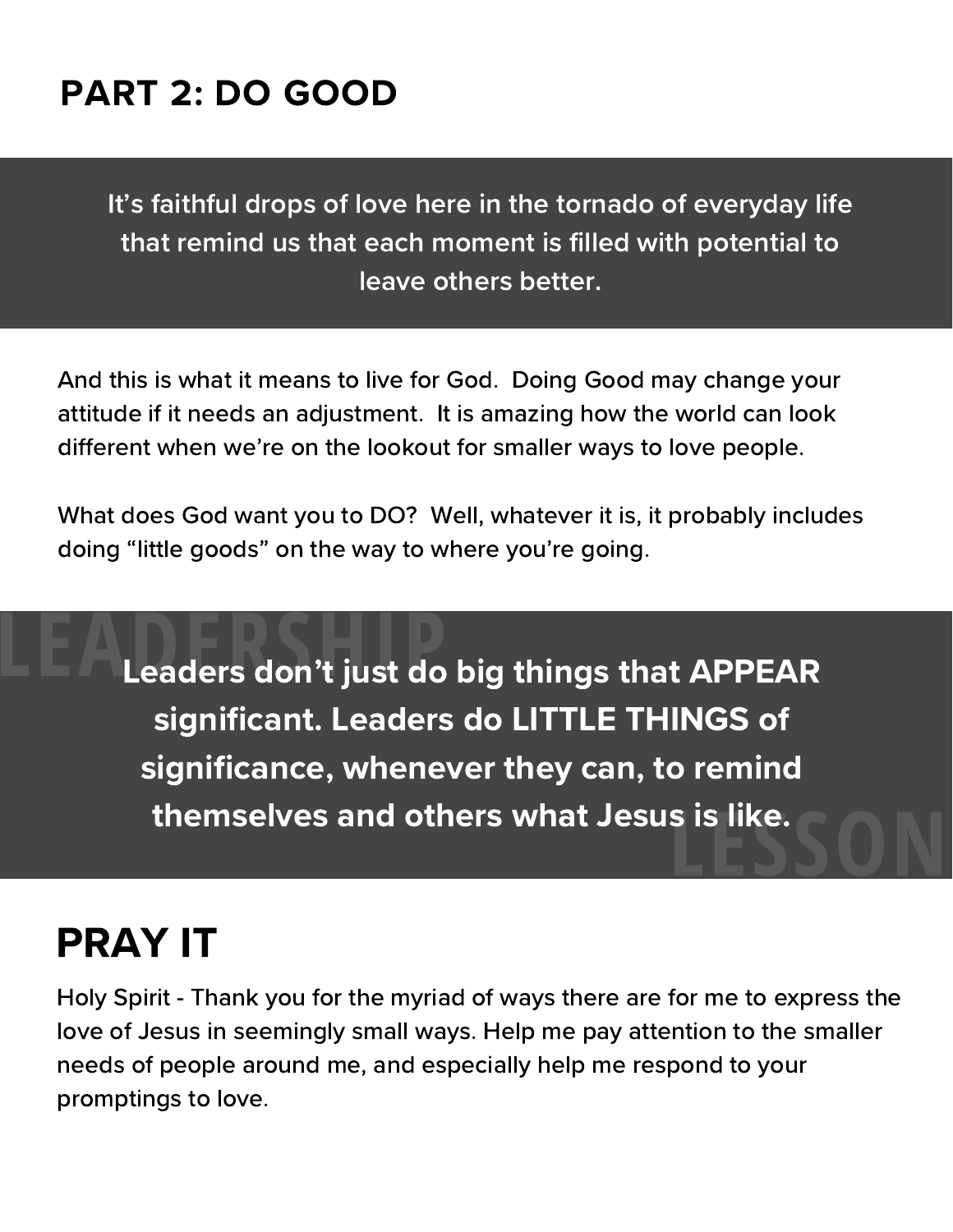## PART 2: DO GOOD

It's faithful drops of love here in the tornado of everyday life that remind us that each moment is filled with potential to leave others better.

And this is what it means to live for God. Doing Good may change your attitude if it needs an adjustment. It is amazing how the world can look different when we're on the lookout for smaller ways to love people.

What does God want you to DO? Well, whatever it is, it probably includes doing "little goods" on the way to where you're going.

**Leaders don't just do big things that APPEAR** significant. Leaders do LITTLE THINGS of significance, whenever they can, to remind themselves and others what Jesus is like. **LESSON** 

## PRAY IT

Holy Spirit - Thank you for the myriad of ways there are for me to express the love of Jesus in seemingly small ways. Help me pay attention to the smaller needs of people around me, and especially help me respond to your promptings to love.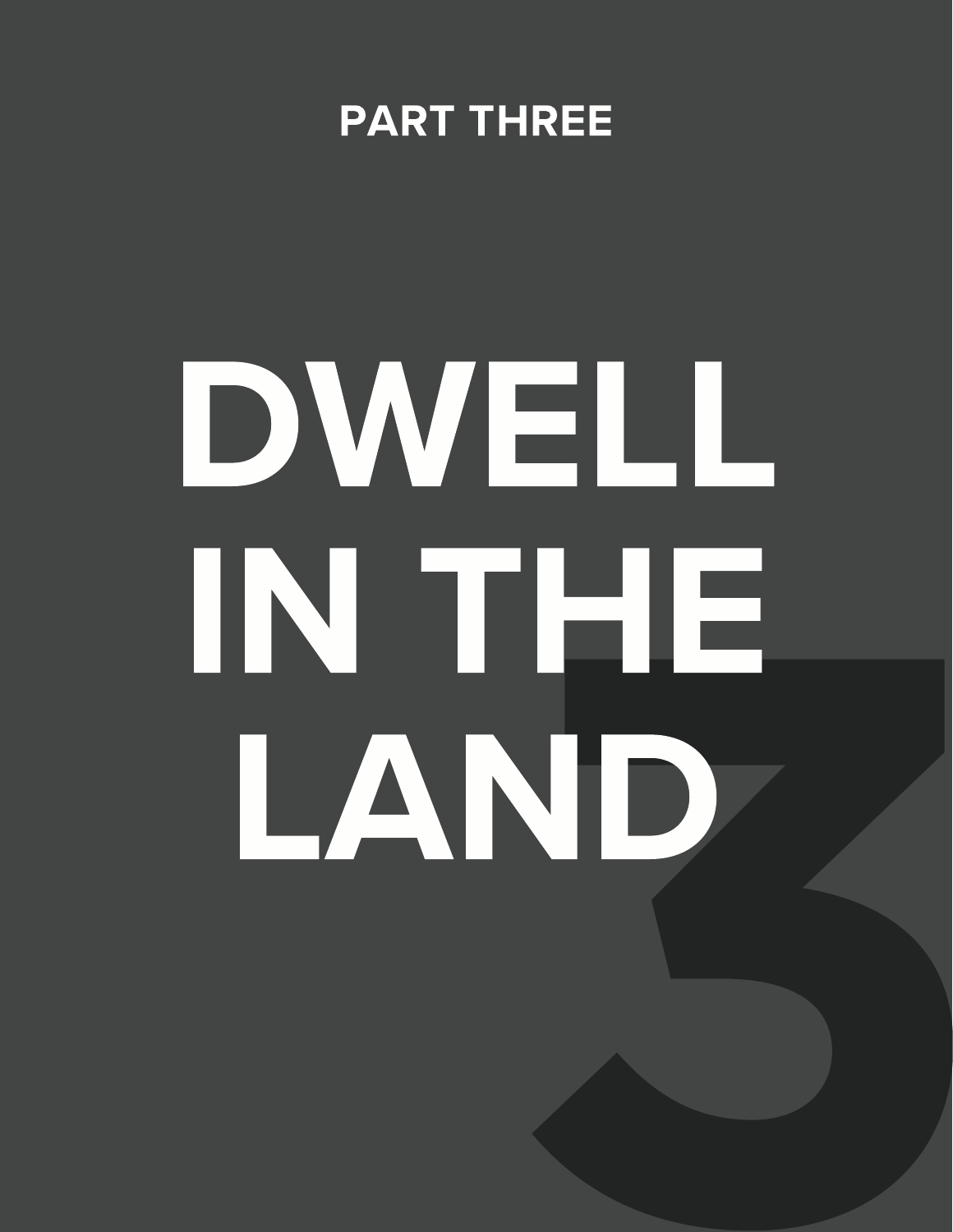## PART THREE

## 3 DWELL IN THE LAND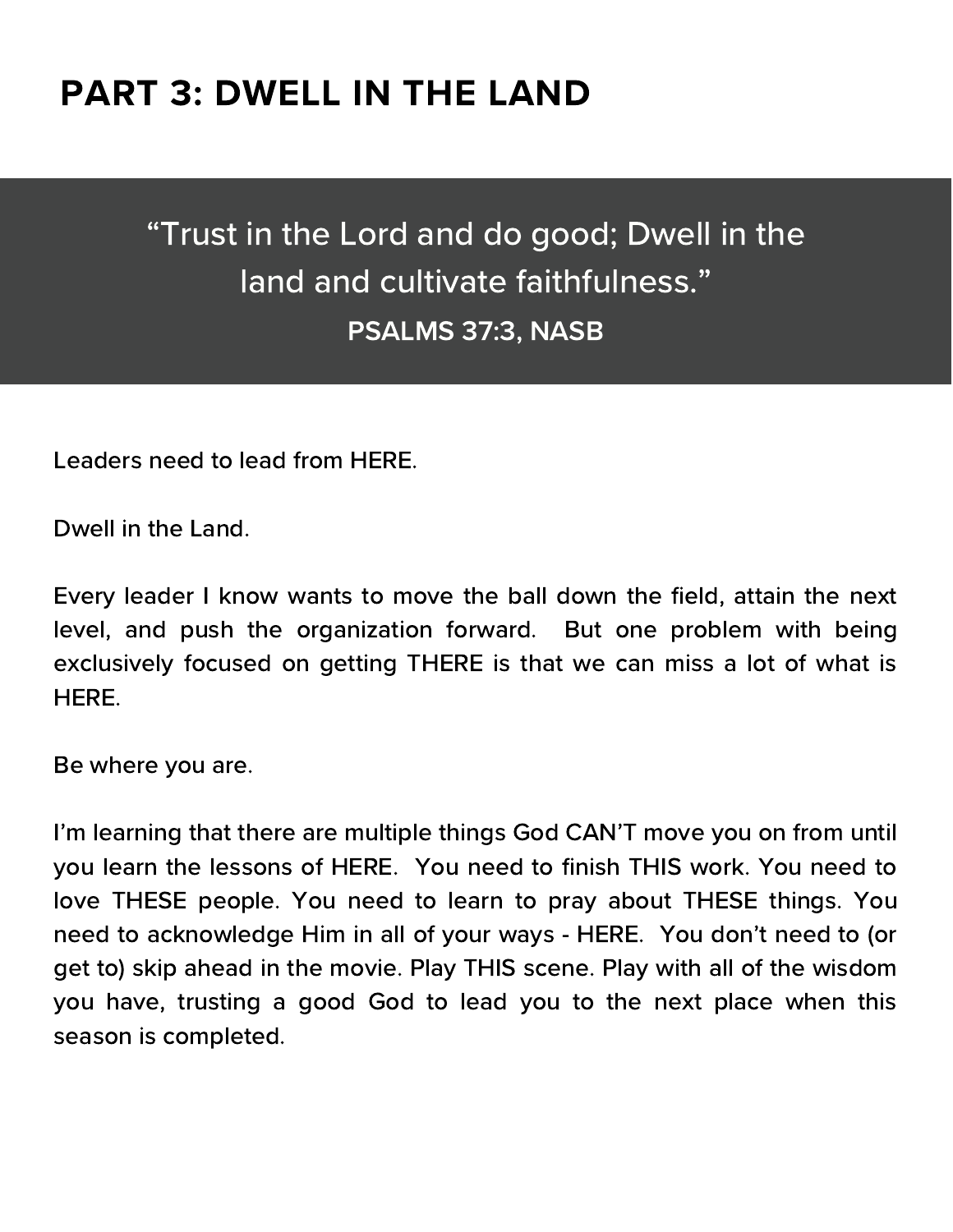## "Trust in the Lord and do good; Dwell in the land and cultivate faithfulness." PSALMS 37:3, NASB

Leaders need to lead from HERE.

Dwell in the Land.

Every leader I know wants to move the ball down the field, attain the next level, and push the organization forward. But one problem with being exclusively focused on getting THERE is that we can miss a lot of what is HERE.

Be where you are.

I'm learning that there are multiple things God CAN'T move you on from until you learn the lessons of HERE. You need to finish THIS work. You need to love THESE people. You need to learn to pray about THESE things. You need to acknowledge Him in all of your ways - HERE. You don't need to (or get to) skip ahead in the movie. Play THIS scene. Play with all of the wisdom you have, trusting a good God to lead you to the next place when this season is completed.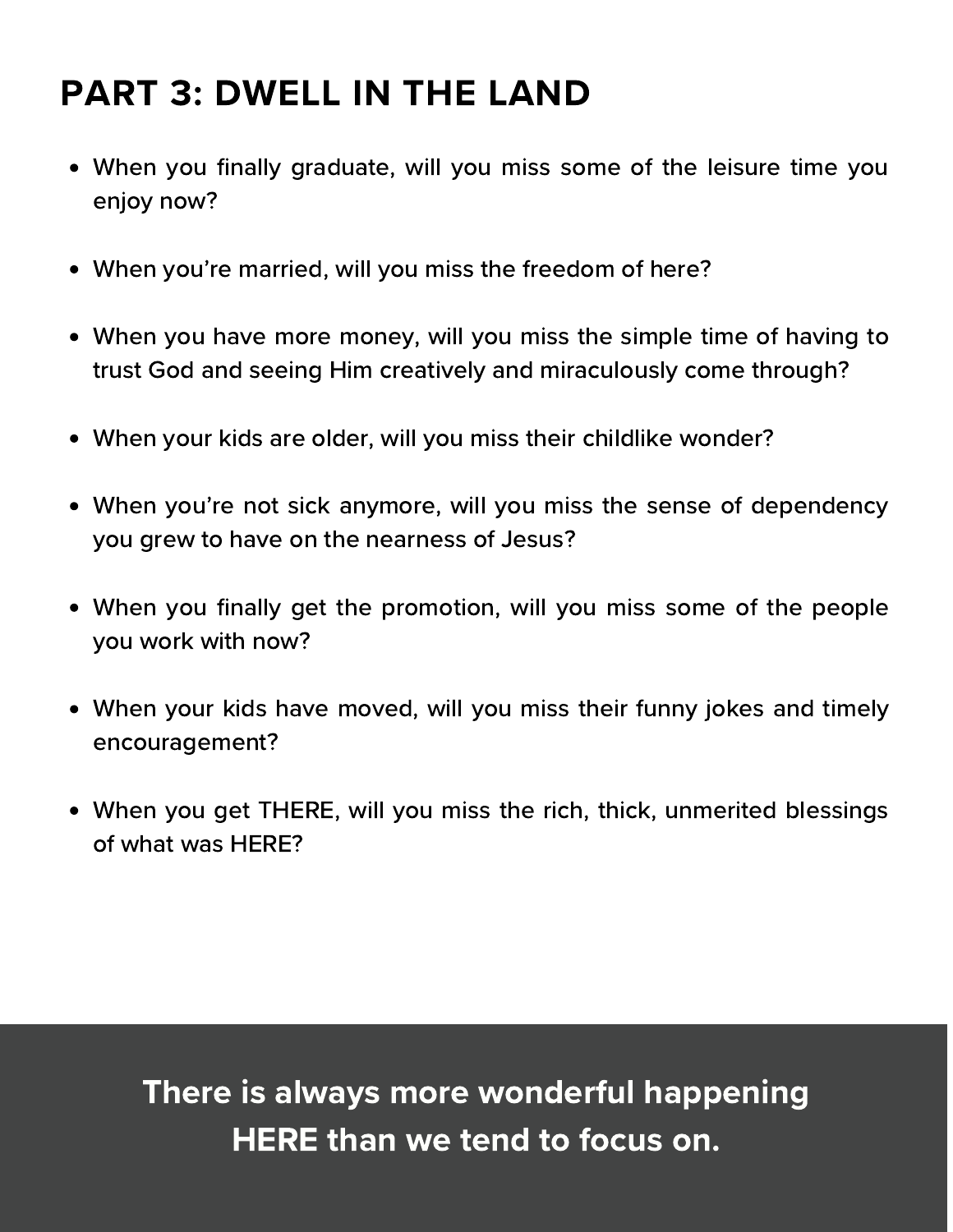- When you finally graduate, will you miss some of the leisure time you enjoy now?
- When you're married, will you miss the freedom of here?
- When you have more money, will you miss the simple time of having to trust God and seeing Him creatively and miraculously come through?
- When your kids are older, will you miss their childlike wonder?
- When you're not sick anymore, will you miss the sense of dependency you grew to have on the nearness of Jesus?
- When you finally get the promotion, will you miss some of the people you work with now?
- When your kids have moved, will you miss their funny jokes and timely encouragement?
- When you get THERE, will you miss the rich, thick, unmerited blessings of what was HERE?

There is always more wonderful happening HERE than we tend to focus on.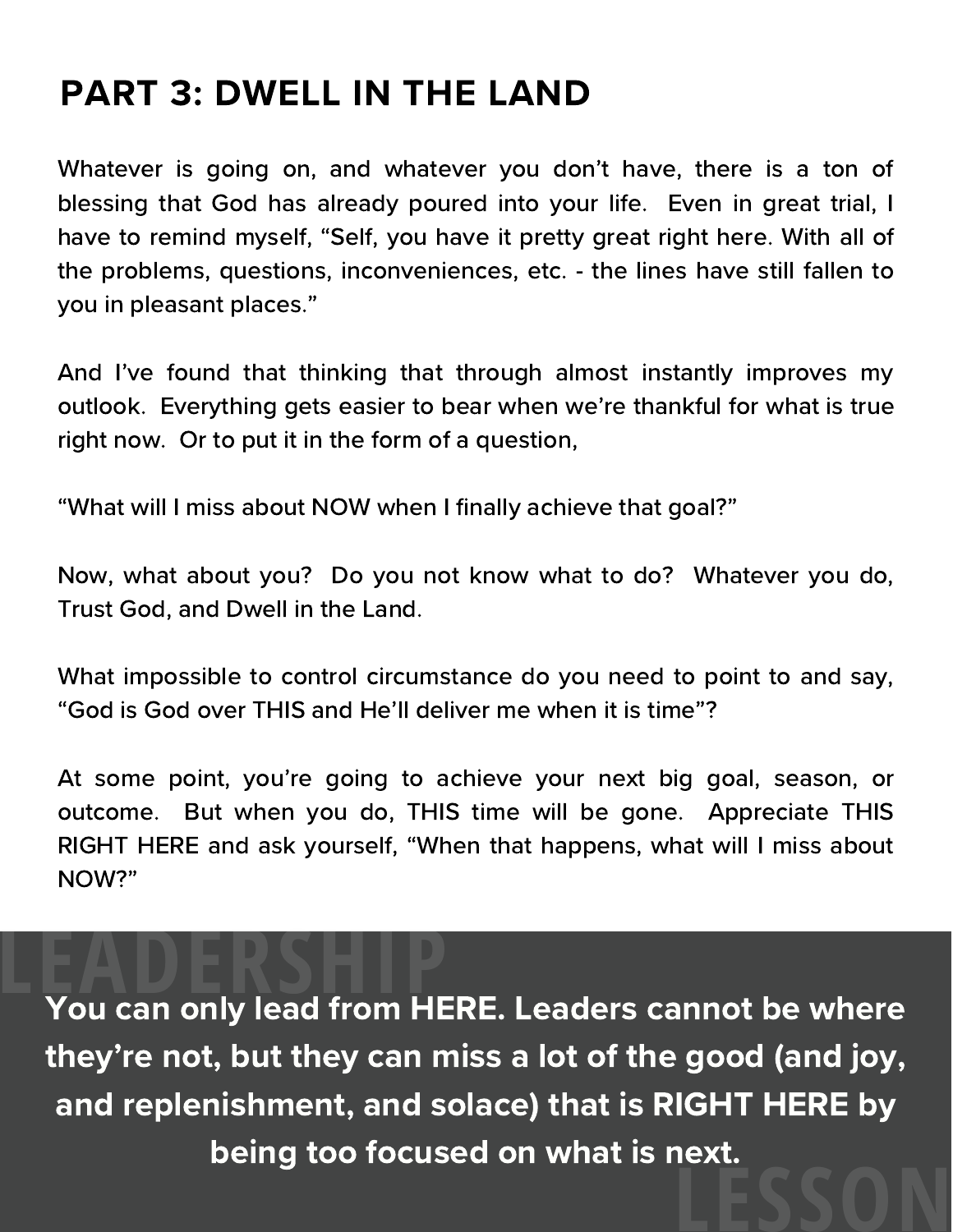Whatever is going on, and whatever you don't have, there is a ton of blessing that God has already poured into your life. Even in great trial, I have to remind myself, "Self, you have it pretty great right here. With all of the problems, questions, inconveniences, etc. - the lines have still fallen to you in pleasant places."

And I've found that thinking that through almost instantly improves my outlook. Everything gets easier to bear when we're thankful for what is true right now. Or to put it in the form of a question,

"What will I miss about NOW when I finally achieve that goal?"

Now, what about you? Do you not know what to do? Whatever you do, Trust God, and Dwell in the Land.

What impossible to control circumstance do you need to point to and say, "God is God over THIS and He'll deliver me when it is time"?

At some point, you're going to achieve your next big goal, season, or outcome. But when you do, THIS time will be gone. Appreciate THIS RIGHT HERE and ask yourself, "When that happens, what will I miss about NOW?"

**THE WALKER CONCORDERS**<br>The Walkers of the Walkers of the Walkership of the Walkership Politics of the Walkership<br>May be where the Walkership Politics of the Walkership Politics of the Walkership Politics of the Walkership they're not, but they can miss a lot of the good (and joy, and replenishment, and solace) that is RIGHT HERE by being too focused on what is next. **LESSON**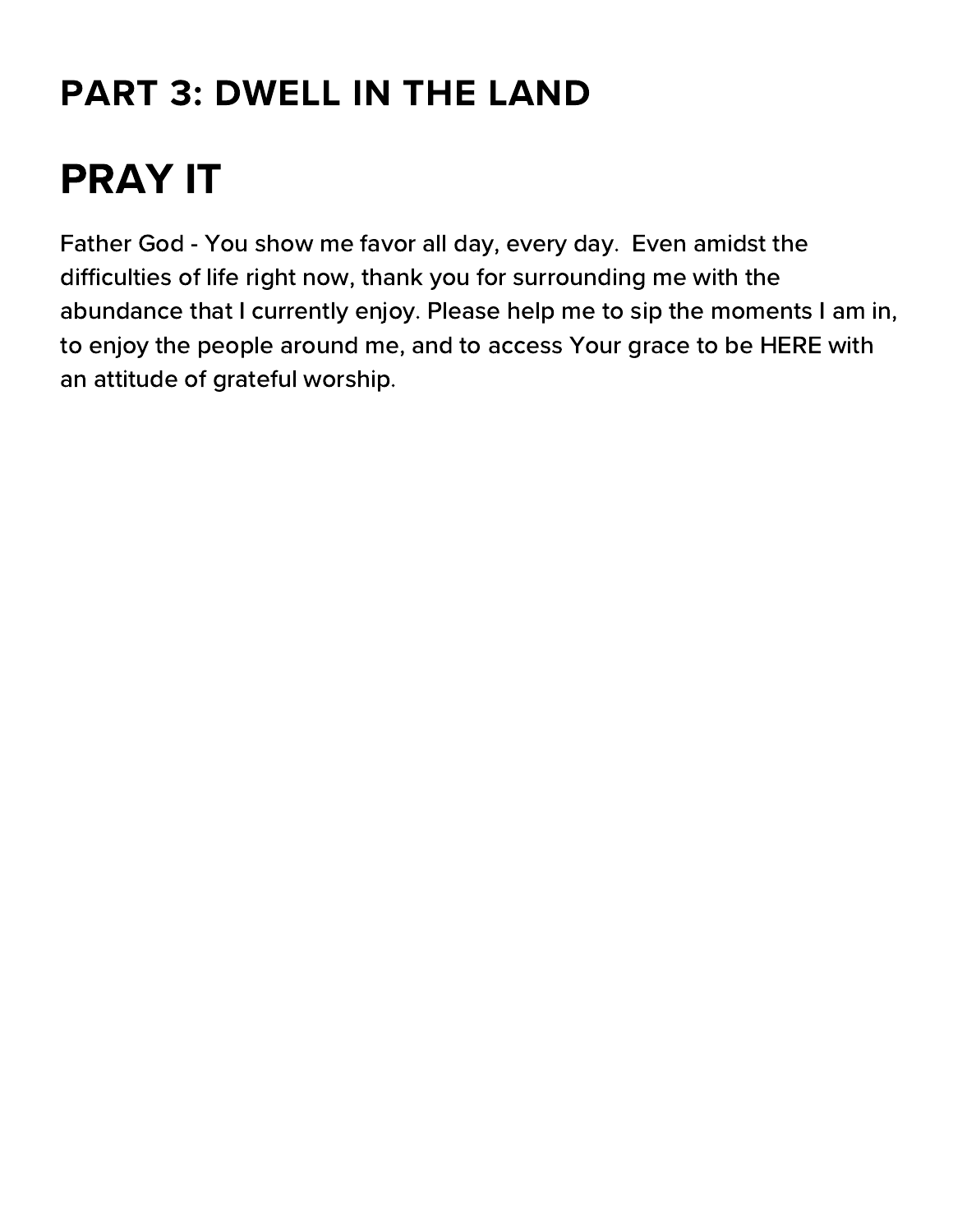## PRAY IT

Father God - You show me favor all day, every day. Even amidst the difficulties of life right now, thank you for surrounding me with the abundance that I currently enjoy. Please help me to sip the moments I am in, to enjoy the people around me, and to access Your grace to be HERE with an attitude of grateful worship.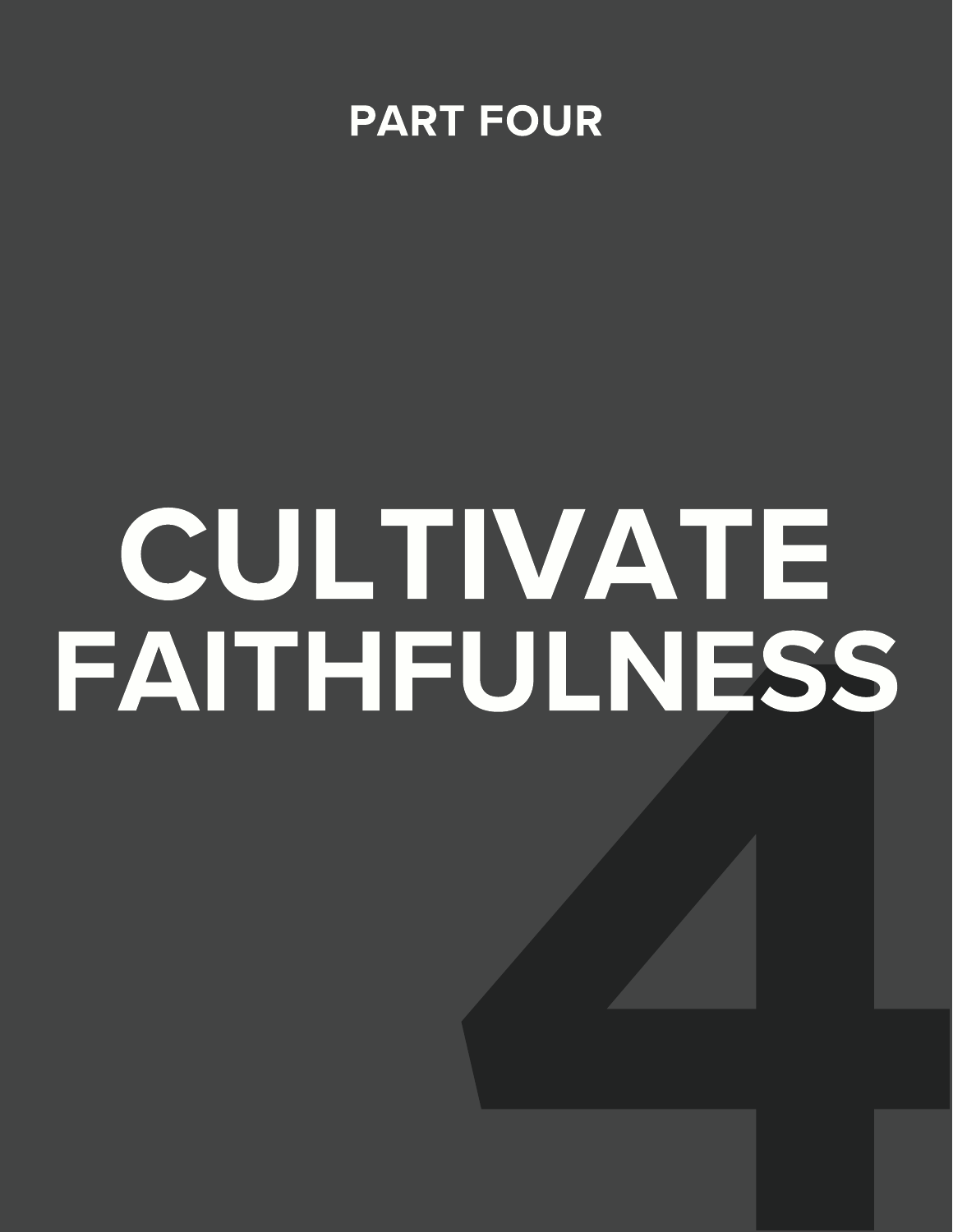

# TUATE<br>FULNESS CULTIVATE FAITHFULNESS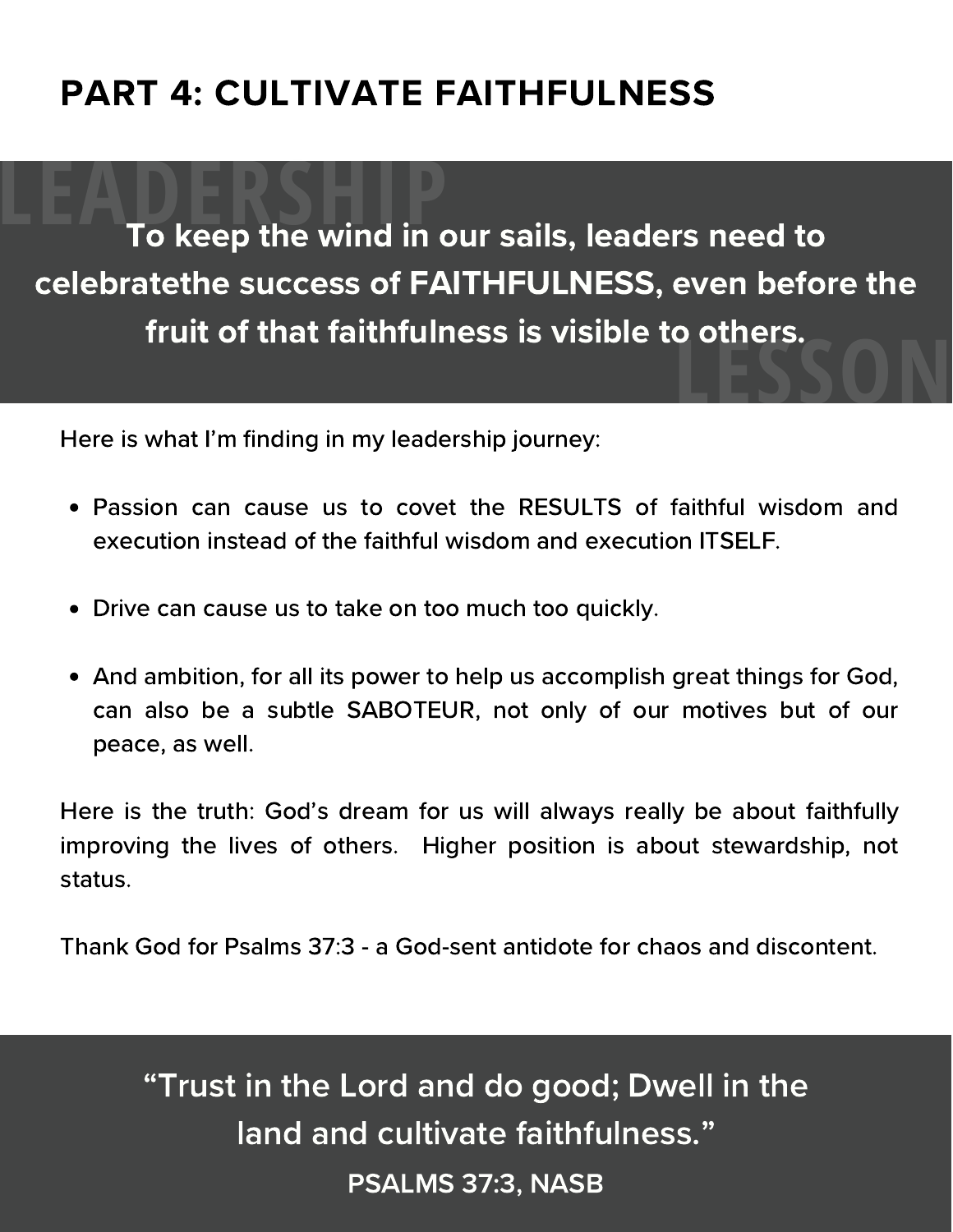**To keep the wind in our sails, leaders need to** celebratethe success of FAITHFULNESS, even before the fruit of that faithfulness is visible to others. **LESSON** 

Here is what I'm finding in my leadership journey:

- Passion can cause us to covet the RESULTS of faithful wisdom and execution instead of the faithful wisdom and execution ITSELF.
- Drive can cause us to take on too much too quickly.
- And ambition, for all its power to help us accomplish great things for God, can also be a subtle SABOTEUR, not only of our motives but of our peace, as well.

Here is the truth: God's dream for us will always really be about faithfully improving the lives of others. Higher position is about stewardship, not status.

Thank God for Psalms 37:3 - a God-sent antidote for chaos and discontent.

## "Trust in the Lord and do good; Dwell in the land and cultivate faithfulness." PSALMS 37:3, NASB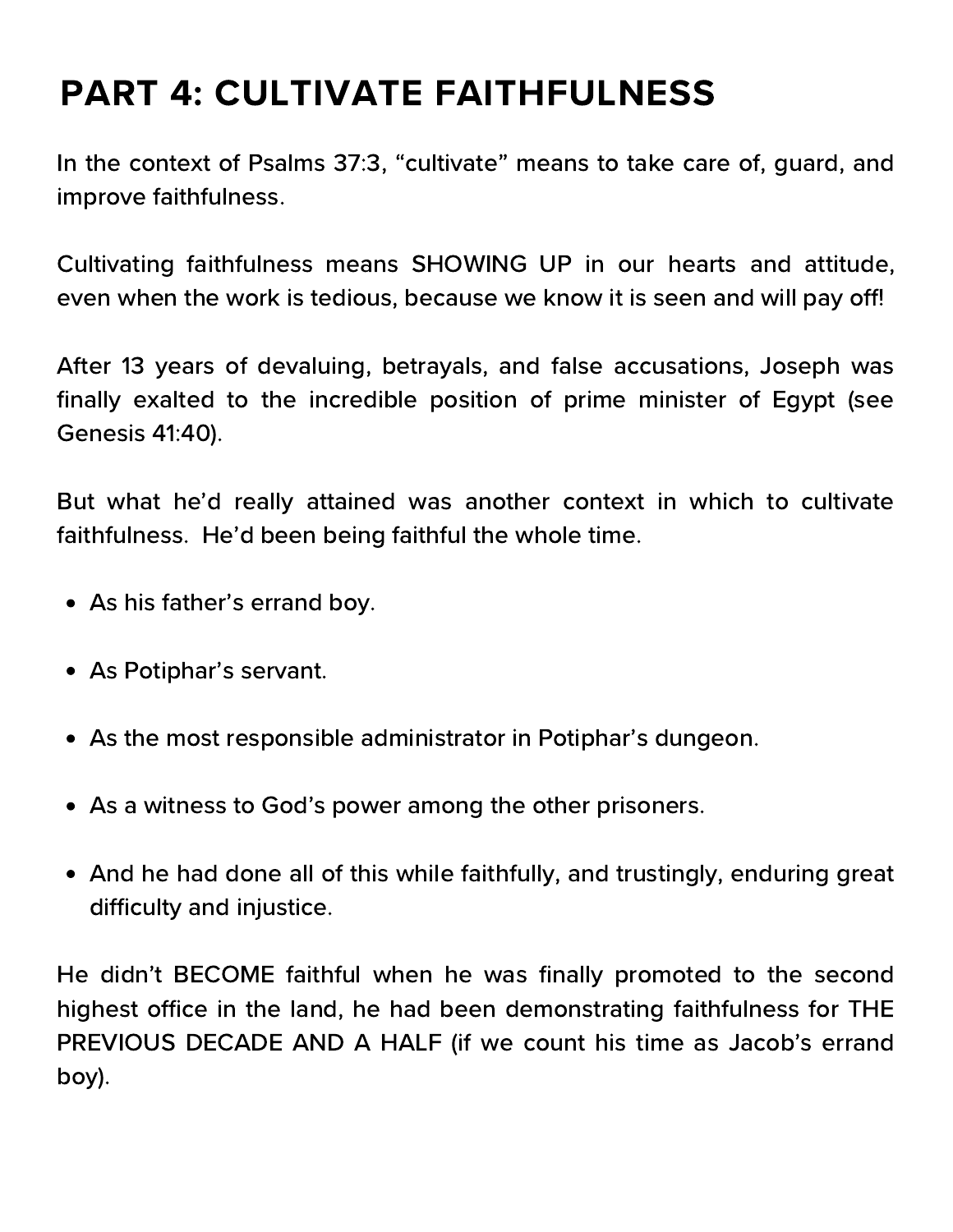In the context of Psalms 37:3, "cultivate" means to take care of, guard, and improve faithfulness.

Cultivating faithfulness means SHOWING UP in our hearts and attitude, even when the work is tedious, because we know it is seen and will pay off!

After 13 years of devaluing, betrayals, and false accusations, Joseph was finally exalted to the incredible position of prime minister of Egypt (see Genesis 41:40).

But what he'd really attained was another context in which to cultivate faithfulness. He'd been being faithful the whole time.

- As his father's errand boy.
- As Potiphar's servant.
- As the most responsible administrator in Potiphar's dungeon.
- As a witness to God's power among the other prisoners.
- And he had done all of this while faithfully, and trustingly, enduring great difficulty and injustice.

He didn't BECOME faithful when he was finally promoted to the second highest office in the land, he had been demonstrating faithfulness for THE PREVIOUS DECADE AND A HALF (if we count his time as Jacob's errand boy).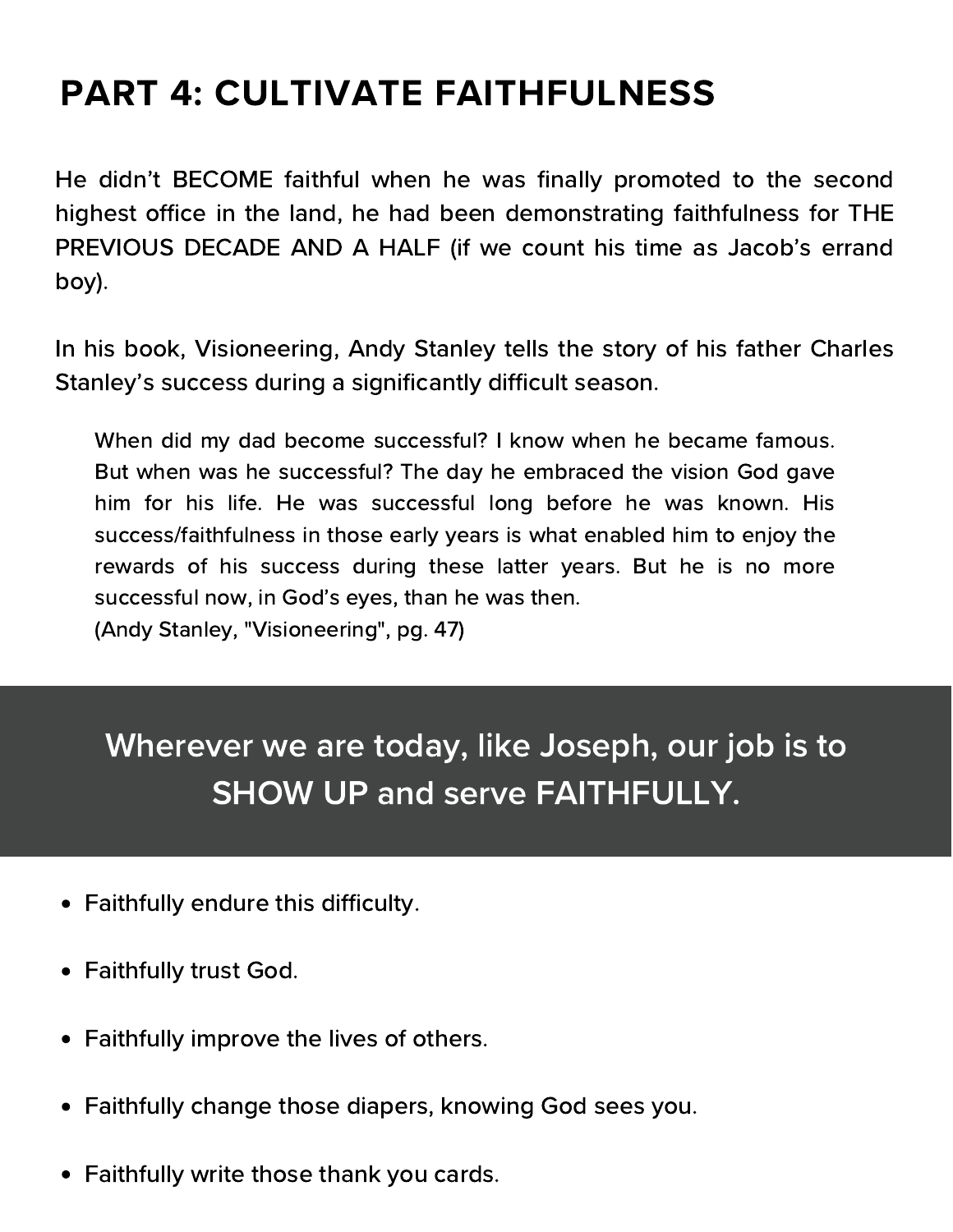He didn't BECOME faithful when he was finally promoted to the second highest office in the land, he had been demonstrating faithfulness for THE PREVIOUS DECADE AND A HALF (if we count his time as Jacob's errand boy).

In his book, Visioneering, Andy Stanley tells the story of his father Charles Stanley's success during a significantly difficult season.

When did my dad become successful? I know when he became famous. But when was he successful? The day he embraced the vision God gave him for his life. He was successful long before he was known. His success/faithfulness in those early years is what enabled him to enjoy the rewards of his success during these latter years. But he is no more successful now, in God's eyes, than he was then. (Andy Stanley, "Visioneering", pg. 47)

Wherever we are today, like Joseph, our job is to SHOW UP and serve FAITHFULLY.

- Faithfully endure this difficulty.
- Faithfully trust God.
- Faithfully improve the lives of others.
- Faithfully change those diapers, knowing God sees you.
- Faithfully write those thank you cards.